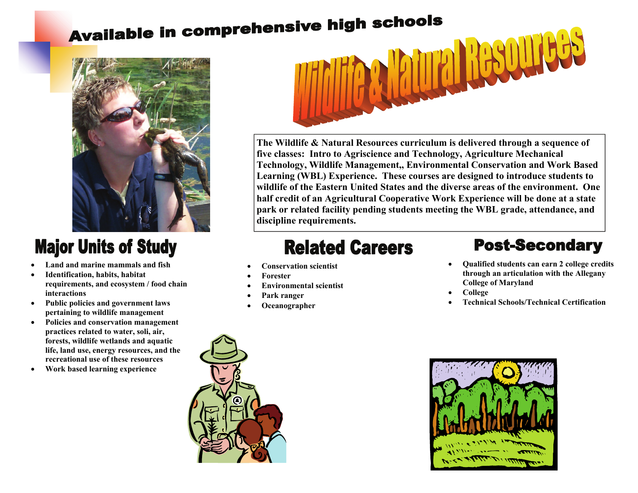# Available in comprehensive high schools



### **Major Units of Study**

- **Land and marine mammals and fish**
- **Identification, habits, habitat requirements, and ecosystem / food chain interactions**
- **Public policies and government laws pertaining to wildlife management**
- **Policies and conservation management practices related to water, soli, air, forests, wildlife wetlands and aquatic life, land use, energy resources, and the recreational use of these resources**
- **Work based learning experience**



**The Wildlife & Natural Resources curriculum is delivered through a sequence of five classes: Intro to Agriscience and Technology, Agriculture Mechanical Technology, Wildlife Management,, Environmental Conservation and Work Based Learning (WBL) Experience. These courses are designed to introduce students to wildlife of the Eastern United States and the diverse areas of the environment. One half credit of an Agricultural Cooperative Work Experience will be done at a state park or related facility pending students meeting the WBL grade, attendance, and discipline requirements.** 

## **Related Careers**

- **Conservation scientist**
- **Forester**
- **Environmental scientist**
- **Park ranger**
- **Oceanographer**

#### **Post-Secondary**

- **Qualified students can earn 2 college credits through an articulation with the Allegany College of Maryland**
- **College**
- **Technical Schools/Technical Certification**